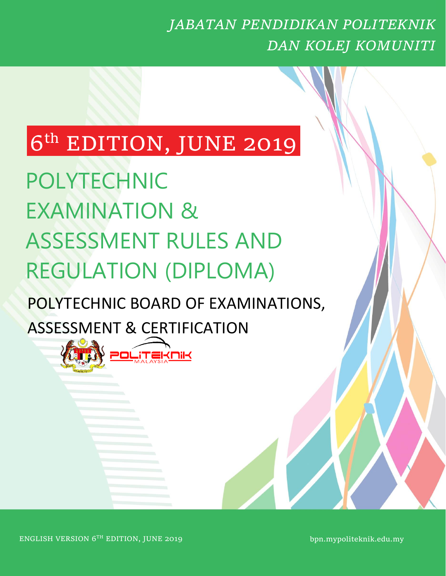### *JABATAN PENDIDIKAN POLITEKNIK DAN KOLEJ KOMUNITI*

# 6<sup>th</sup> EDITION, JUNE 2019

POLYTECHNIC EXAMINATION & ASSESSMENT RULES AND REGULATION (DIPLOMA)

## POLYTECHNIC BOARD OF EXAMINATIONS, ASSESSMENT & CERTIFICATION



bpn.mypoliteknik.edu.my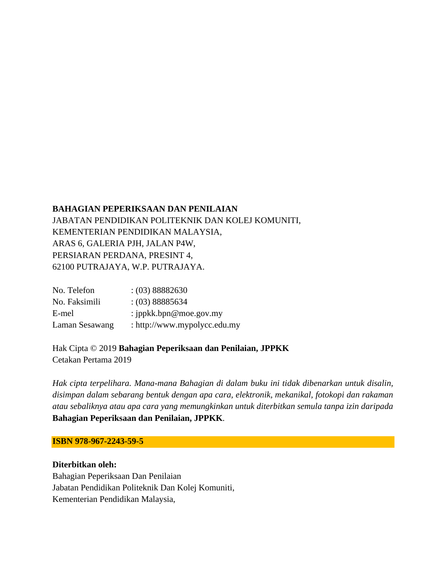#### **BAHAGIAN PEPERIKSAAN DAN PENILAIAN**

JABATAN PENDIDIKAN POLITEKNIK DAN KOLEJ KOMUNITI, KEMENTERIAN PENDIDIKAN MALAYSIA, ARAS 6, GALERIA PJH, JALAN P4W, PERSIARAN PERDANA, PRESINT 4, 62100 PUTRAJAYA, W.P. PUTRAJAYA.

| No. Telefon    | (03) 88882630                |
|----------------|------------------------------|
| No. Faksimili  | (03) 88885634                |
| E-mel          | : ippkk.bpn@moe.gov.my       |
| Laman Sesawang | : http://www.mypolycc.edu.my |

Hak Cipta © 2019 **Bahagian Peperiksaan dan Penilaian, JPPKK** Cetakan Pertama 2019

*Hak cipta terpelihara. Mana-mana Bahagian di dalam buku ini tidak dibenarkan untuk disalin, disimpan dalam sebarang bentuk dengan apa cara, elektronik, mekanikal, fotokopi dan rakaman atau sebaliknya atau apa cara yang memungkinkan untuk diterbitkan semula tanpa izin daripada*  **Bahagian Peperiksaan dan Penilaian, JPPKK***.*

#### **ISBN 978-967-2243-59-5**

**Diterbitkan oleh:**  Bahagian Peperiksaan Dan Penilaian Jabatan Pendidikan Politeknik Dan Kolej Komuniti, Kementerian Pendidikan Malaysia,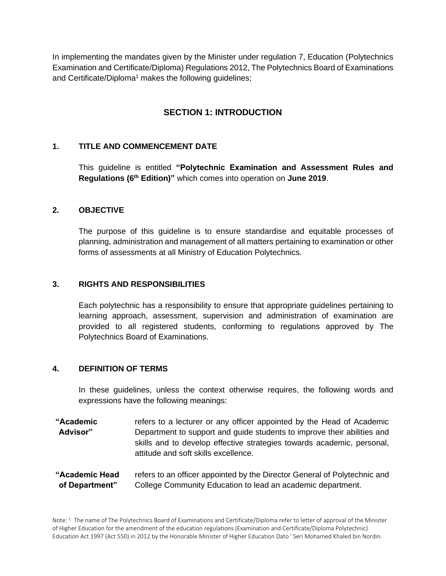In implementing the mandates given by the Minister under regulation 7, Education (Polytechnics Examination and Certificate/Diploma) Regulations 2012, The Polytechnics Board of Examinations and Certificate/Diploma<sup>1</sup> makes the following guidelines;

### **SECTION 1: INTRODUCTION**

#### **1. TITLE AND COMMENCEMENT DATE**

This guideline is entitled **"Polytechnic Examination and Assessment Rules and Regulations (6th Edition)"** which comes into operation on **June 2019**.

#### **2. OBJECTIVE**

The purpose of this guideline is to ensure standardise and equitable processes of planning, administration and management of all matters pertaining to examination or other forms of assessments at all Ministry of Education Polytechnics.

#### **3. RIGHTS AND RESPONSIBILITIES**

Each polytechnic has a responsibility to ensure that appropriate guidelines pertaining to learning approach, assessment, supervision and administration of examination are provided to all registered students, conforming to regulations approved by The Polytechnics Board of Examinations.

#### **4. DEFINITION OF TERMS**

In these guidelines, unless the context otherwise requires, the following words and expressions have the following meanings:

**"Academic Advisor"** refers to a lecturer or any officer appointed by the Head of Academic Department to support and guide students to improve their abilities and skills and to develop effective strategies towards academic, personal, attitude and soft skills excellence.

**"Academic Head of Department"** refers to an officer appointed by the Director General of Polytechnic and College Community Education to lead an academic department.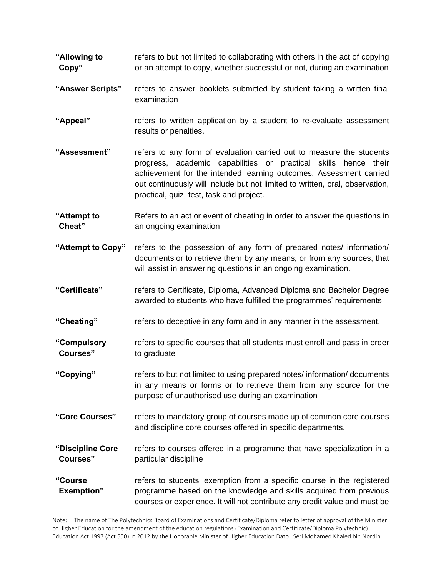- **"Allowing to Copy"** refers to but not limited to collaborating with others in the act of copying or an attempt to copy, whether successful or not, during an examination
- **"Answer Scripts"** refers to answer booklets submitted by student taking a written final examination
- **"Appeal"** refers to written application by a student to re-evaluate assessment results or penalties.
- **"Assessment"** refers to any form of evaluation carried out to measure the students progress, academic capabilities or practical skills hence their achievement for the intended learning outcomes. Assessment carried out continuously will include but not limited to written, oral, observation, practical, quiz, test, task and project.
- **"Attempt to Cheat"** Refers to an act or event of cheating in order to answer the questions in an ongoing examination
- **"Attempt to Copy"** refers to the possession of any form of prepared notes/ information/ documents or to retrieve them by any means, or from any sources, that will assist in answering questions in an ongoing examination.
- **"Certificate"** refers to Certificate, Diploma, Advanced Diploma and Bachelor Degree awarded to students who have fulfilled the programmes' requirements
- **"Cheating"** refers to deceptive in any form and in any manner in the assessment.
- **"Compulsory Courses"** refers to specific courses that all students must enroll and pass in order to graduate
- **"Copying"** refers to but not limited to using prepared notes/ information/ documents in any means or forms or to retrieve them from any source for the purpose of unauthorised use during an examination
- **"Core Courses"** refers to mandatory group of courses made up of common core courses and discipline core courses offered in specific departments.
- **"Discipline Core Courses"** refers to courses offered in a programme that have specialization in a particular discipline
- **"Course Exemption"** refers to students' exemption from a specific course in the registered programme based on the knowledge and skills acquired from previous courses or experience. It will not contribute any credit value and must be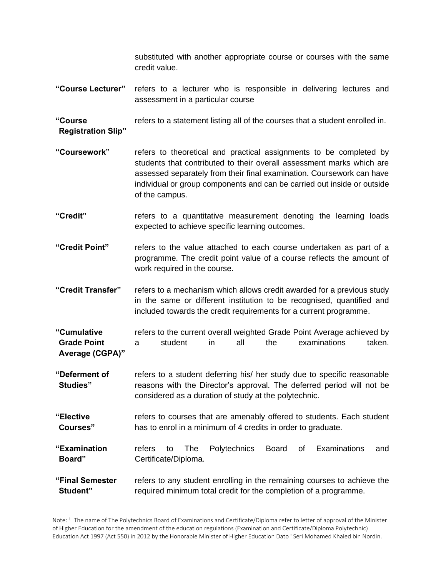substituted with another appropriate course or courses with the same credit value.

**"Course Lecturer"** refers to a lecturer who is responsible in delivering lectures and assessment in a particular course

**"Course Registration Slip"** refers to a statement listing all of the courses that a student enrolled in.

- **"Coursework"** refers to theoretical and practical assignments to be completed by students that contributed to their overall assessment marks which are assessed separately from their final examination. Coursework can have individual or group components and can be carried out inside or outside of the campus.
- **"Credit"** refers to a quantitative measurement denoting the learning loads expected to achieve specific learning outcomes.
- **"Credit Point"** refers to the value attached to each course undertaken as part of a programme. The credit point value of a course reflects the amount of work required in the course.
- **"Credit Transfer"** refers to a mechanism which allows credit awarded for a previous study in the same or different institution to be recognised, quantified and included towards the credit requirements for a current programme.
- **"Cumulative Grade Point Average (CGPA)"** refers to the current overall weighted Grade Point Average achieved by a student in all the examinations taken.
- **"Deferment of Studies"** refers to a student deferring his/ her study due to specific reasonable reasons with the Director's approval. The deferred period will not be considered as a duration of study at the polytechnic.
- **"Elective Courses"** refers to courses that are amenably offered to students. Each student has to enrol in a minimum of 4 credits in order to graduate.

**"Examination Board"** refers to The Polytechnics Board of Examinations and Certificate/Diploma.

#### **"Final Semester Student"** refers to any student enrolling in the remaining courses to achieve the required minimum total credit for the completion of a programme.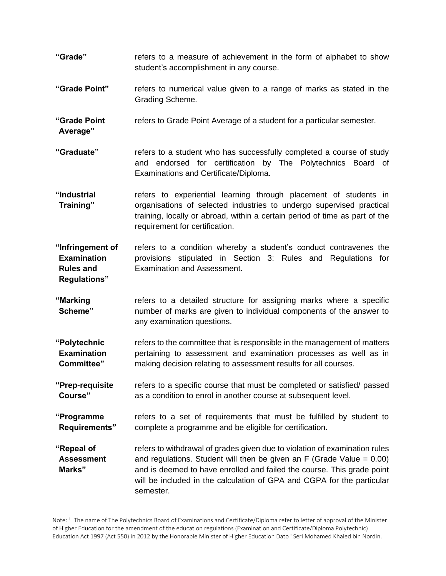- **"Grade"** refers to a measure of achievement in the form of alphabet to show student's accomplishment in any course.
- **"Grade Point"** refers to numerical value given to a range of marks as stated in the Grading Scheme.

**"Grade Point**  refers to Grade Point Average of a student for a particular semester.

**Average"**

- **"Graduate"** refers to a student who has successfully completed a course of study and endorsed for certification by The Polytechnics Board of Examinations and Certificate/Diploma.
- **"Industrial Training"** refers to experiential learning through placement of students in organisations of selected industries to undergo supervised practical training, locally or abroad, within a certain period of time as part of the requirement for certification.

**"Infringement of Examination Rules and Regulations"** refers to a condition whereby a student's conduct contravenes the provisions stipulated in Section 3: Rules and Regulations for Examination and Assessment.

- **"Marking Scheme"** refers to a detailed structure for assigning marks where a specific number of marks are given to individual components of the answer to any examination questions.
- **"Polytechnic Examination Committee"** refers to the committee that is responsible in the management of matters pertaining to assessment and examination processes as well as in making decision relating to assessment results for all courses.
- **"Prep-requisite Course"** refers to a specific course that must be completed or satisfied/ passed as a condition to enrol in another course at subsequent level.
- **"Programme Requirements"** refers to a set of requirements that must be fulfilled by student to complete a programme and be eligible for certification.
- **"Repeal of Assessment Marks"** refers to withdrawal of grades given due to violation of examination rules and regulations. Student will then be given an  $F$  (Grade Value = 0.00) and is deemed to have enrolled and failed the course. This grade point will be included in the calculation of GPA and CGPA for the particular semester.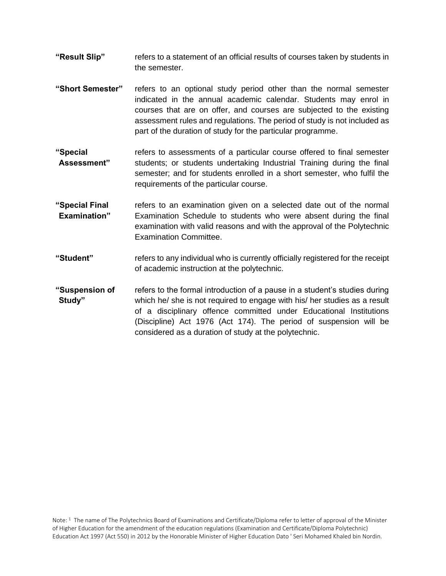- **"Result Slip"** refers to a statement of an official results of courses taken by students in the semester.
- **"Short Semester"** refers to an optional study period other than the normal semester indicated in the annual academic calendar. Students may enrol in courses that are on offer, and courses are subjected to the existing assessment rules and regulations. The period of study is not included as part of the duration of study for the particular programme.
- **"Special Assessment"** refers to assessments of a particular course offered to final semester students; or students undertaking Industrial Training during the final semester; and for students enrolled in a short semester, who fulfil the requirements of the particular course.
- **"Special Final Examination"** refers to an examination given on a selected date out of the normal Examination Schedule to students who were absent during the final examination with valid reasons and with the approval of the Polytechnic Examination Committee.
- **"Student"** refers to any individual who is currently officially registered for the receipt of academic instruction at the polytechnic.
- **"Suspension of Study"** refers to the formal introduction of a pause in a student's studies during which he/ she is not required to engage with his/ her studies as a result of a disciplinary offence committed under Educational Institutions (Discipline) Act 1976 (Act 174). The period of suspension will be considered as a duration of study at the polytechnic.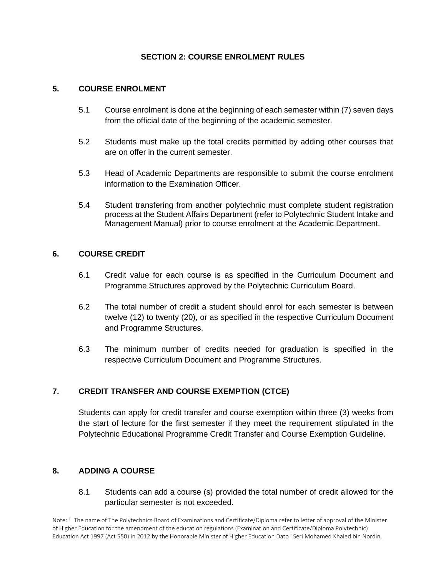#### **SECTION 2: COURSE ENROLMENT RULES**

#### **5. COURSE ENROLMENT**

- 5.1 Course enrolment is done at the beginning of each semester within (7) seven days from the official date of the beginning of the academic semester.
- 5.2 Students must make up the total credits permitted by adding other courses that are on offer in the current semester.
- 5.3 Head of Academic Departments are responsible to submit the course enrolment information to the Examination Officer.
- 5.4 Student transfering from another polytechnic must complete student registration process at the Student Affairs Department (refer to Polytechnic Student Intake and Management Manual) prior to course enrolment at the Academic Department.

#### **6. COURSE CREDIT**

- 6.1 Credit value for each course is as specified in the Curriculum Document and Programme Structures approved by the Polytechnic Curriculum Board.
- 6.2 The total number of credit a student should enrol for each semester is between twelve (12) to twenty (20), or as specified in the respective Curriculum Document and Programme Structures.
- 6.3 The minimum number of credits needed for graduation is specified in the respective Curriculum Document and Programme Structures.

#### **7. CREDIT TRANSFER AND COURSE EXEMPTION (CTCE)**

Students can apply for credit transfer and course exemption within three (3) weeks from the start of lecture for the first semester if they meet the requirement stipulated in the Polytechnic Educational Programme Credit Transfer and Course Exemption Guideline.

#### **8. ADDING A COURSE**

8.1 Students can add a course (s) provided the total number of credit allowed for the particular semester is not exceeded.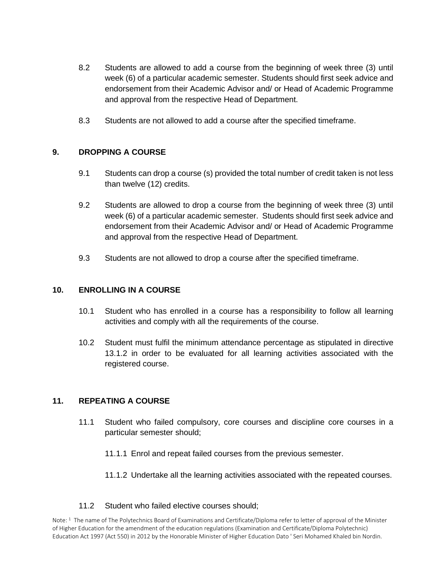- 8.2 Students are allowed to add a course from the beginning of week three (3) until week (6) of a particular academic semester. Students should first seek advice and endorsement from their Academic Advisor and/ or Head of Academic Programme and approval from the respective Head of Department.
- 8.3 Students are not allowed to add a course after the specified timeframe.

#### **9. DROPPING A COURSE**

- 9.1 Students can drop a course (s) provided the total number of credit taken is not less than twelve (12) credits.
- 9.2 Students are allowed to drop a course from the beginning of week three (3) until week (6) of a particular academic semester. Students should first seek advice and endorsement from their Academic Advisor and/ or Head of Academic Programme and approval from the respective Head of Department.
- 9.3 Students are not allowed to drop a course after the specified timeframe.

#### **10. ENROLLING IN A COURSE**

- 10.1 Student who has enrolled in a course has a responsibility to follow all learning activities and comply with all the requirements of the course.
- 10.2 Student must fulfil the minimum attendance percentage as stipulated in directive 13.1.2 in order to be evaluated for all learning activities associated with the registered course.

#### **11. REPEATING A COURSE**

- 11.1 Student who failed compulsory, core courses and discipline core courses in a particular semester should;
	- 11.1.1 Enrol and repeat failed courses from the previous semester.
	- 11.1.2 Undertake all the learning activities associated with the repeated courses.

#### 11.2 Student who failed elective courses should;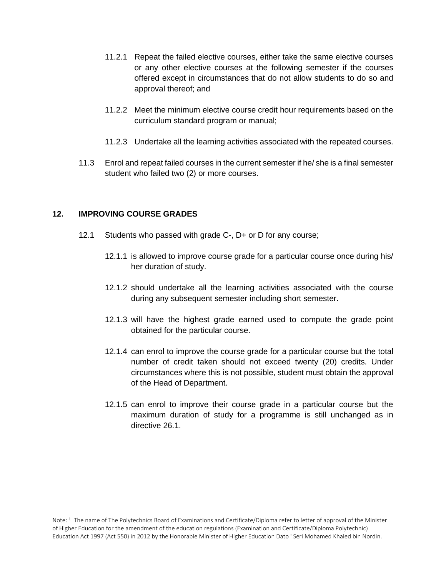- 11.2.1 Repeat the failed elective courses, either take the same elective courses or any other elective courses at the following semester if the courses offered except in circumstances that do not allow students to do so and approval thereof; and
- 11.2.2 Meet the minimum elective course credit hour requirements based on the curriculum standard program or manual;
- 11.2.3 Undertake all the learning activities associated with the repeated courses.
- 11.3 Enrol and repeat failed courses in the current semester if he/ she is a final semester student who failed two (2) or more courses.

#### **12. IMPROVING COURSE GRADES**

- 12.1 Students who passed with grade C-, D+ or D for any course;
	- 12.1.1 is allowed to improve course grade for a particular course once during his/ her duration of study.
	- 12.1.2 should undertake all the learning activities associated with the course during any subsequent semester including short semester.
	- 12.1.3 will have the highest grade earned used to compute the grade point obtained for the particular course.
	- 12.1.4 can enrol to improve the course grade for a particular course but the total number of credit taken should not exceed twenty (20) credits. Under circumstances where this is not possible, student must obtain the approval of the Head of Department.
	- 12.1.5 can enrol to improve their course grade in a particular course but the maximum duration of study for a programme is still unchanged as in directive 26.1.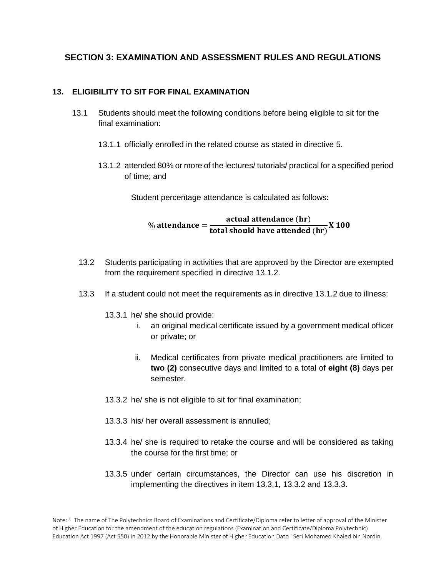#### **SECTION 3: EXAMINATION AND ASSESSMENT RULES AND REGULATIONS**

#### **13. ELIGIBILITY TO SIT FOR FINAL EXAMINATION**

- 13.1 Students should meet the following conditions before being eligible to sit for the final examination:
	- 13.1.1 officially enrolled in the related course as stated in directive 5.
	- 13.1.2 attended 80% or more of the lectures/ tutorials/ practical for a specified period of time; and

Student percentage attendance is calculated as follows:

 $\%$  attendance  $=$ actual attendance (hr)  $\frac{1}{\pi}$  and  $\frac{1}{\pi}$  are  $\frac{1}{\pi}$  and  $\frac{1}{\pi}$  are attended  $\frac{1}{\pi}$  X 100

- 13.2 Students participating in activities that are approved by the Director are exempted from the requirement specified in directive 13.1.2.
- 13.3 If a student could not meet the requirements as in directive 13.1.2 due to illness:
	- 13.3.1 he/ she should provide:
		- i. an original medical certificate issued by a government medical officer or private; or
		- ii. Medical certificates from private medical practitioners are limited to **two (2)** consecutive days and limited to a total of **eight (8)** days per semester.
	- 13.3.2 he/ she is not eligible to sit for final examination;
	- 13.3.3 his/ her overall assessment is annulled;
	- 13.3.4 he/ she is required to retake the course and will be considered as taking the course for the first time; or
	- 13.3.5 under certain circumstances, the Director can use his discretion in implementing the directives in item 13.3.1, 13.3.2 and 13.3.3.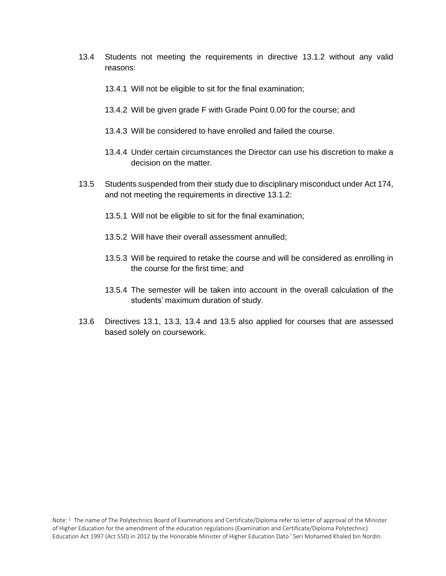- 13.4 Students not meeting the requirements in directive 13.1.2 without any valid reasons:
	- 13.4.1 Will not be eligible to sit for the final examination;
	- 13.4.2 Will be given grade F with Grade Point 0.00 for the course; and
	- 13.4.3 Will be considered to have enrolled and failed the course.
	- 13.4.4 Under certain circumstances the Director can use his discretion to make a decision on the matter.
- 13.5 Students suspended from their study due to disciplinary misconduct under Act 174, and not meeting the requirements in directive 13.1.2:
	- 13.5.1 Will not be eligible to sit for the final examination;
	- 13.5.2 Will have their overall assessment annulled;
	- 13.5.3 Will be required to retake the course and will be considered as enrolling in the course for the first time; and
	- 13.5.4 The semester will be taken into account in the overall calculation of the students' maximum duration of study.
- 13.6 Directives 13.1, 13.3, 13.4 and 13.5 also applied for courses that are assessed based solely on coursework.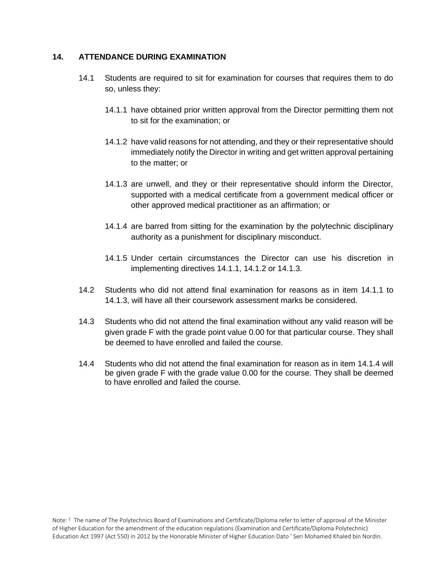#### **14. ATTENDANCE DURING EXAMINATION**

- 14.1 Students are required to sit for examination for courses that requires them to do so, unless they:
	- 14.1.1 have obtained prior written approval from the Director permitting them not to sit for the examination; or
	- 14.1.2 have valid reasons for not attending, and they or their representative should immediately notify the Director in writing and get written approval pertaining to the matter; or
	- 14.1.3 are unwell, and they or their representative should inform the Director, supported with a medical certificate from a government medical officer or other approved medical practitioner as an affirmation; or
	- 14.1.4 are barred from sitting for the examination by the polytechnic disciplinary authority as a punishment for disciplinary misconduct.
	- 14.1.5 Under certain circumstances the Director can use his discretion in implementing directives 14.1.1, 14.1.2 or 14.1.3.
- 14.2 Students who did not attend final examination for reasons as in item 14.1.1 to 14.1.3, will have all their coursework assessment marks be considered.
- 14.3 Students who did not attend the final examination without any valid reason will be given grade F with the grade point value 0.00 for that particular course. They shall be deemed to have enrolled and failed the course.
- 14.4 Students who did not attend the final examination for reason as in item 14.1.4 will be given grade F with the grade value 0.00 for the course. They shall be deemed to have enrolled and failed the course.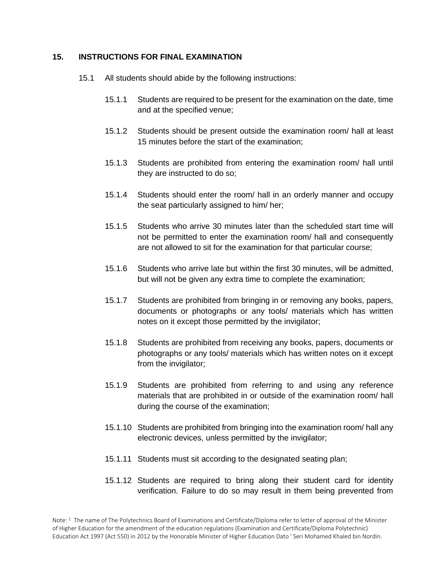#### **15. INSTRUCTIONS FOR FINAL EXAMINATION**

- 15.1 All students should abide by the following instructions:
	- 15.1.1 Students are required to be present for the examination on the date, time and at the specified venue;
	- 15.1.2 Students should be present outside the examination room/ hall at least 15 minutes before the start of the examination;
	- 15.1.3 Students are prohibited from entering the examination room/ hall until they are instructed to do so;
	- 15.1.4 Students should enter the room/ hall in an orderly manner and occupy the seat particularly assigned to him/ her;
	- 15.1.5 Students who arrive 30 minutes later than the scheduled start time will not be permitted to enter the examination room/ hall and consequently are not allowed to sit for the examination for that particular course;
	- 15.1.6 Students who arrive late but within the first 30 minutes, will be admitted, but will not be given any extra time to complete the examination;
	- 15.1.7 Students are prohibited from bringing in or removing any books, papers, documents or photographs or any tools/ materials which has written notes on it except those permitted by the invigilator;
	- 15.1.8 Students are prohibited from receiving any books, papers, documents or photographs or any tools/ materials which has written notes on it except from the invigilator;
	- 15.1.9 Students are prohibited from referring to and using any reference materials that are prohibited in or outside of the examination room/ hall during the course of the examination;
	- 15.1.10 Students are prohibited from bringing into the examination room/ hall any electronic devices, unless permitted by the invigilator;
	- 15.1.11 Students must sit according to the designated seating plan;
	- 15.1.12 Students are required to bring along their student card for identity verification. Failure to do so may result in them being prevented from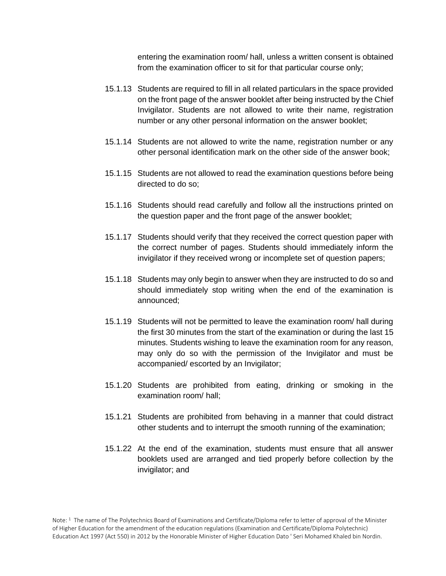entering the examination room/ hall, unless a written consent is obtained from the examination officer to sit for that particular course only;

- 15.1.13 Students are required to fill in all related particulars in the space provided on the front page of the answer booklet after being instructed by the Chief Invigilator. Students are not allowed to write their name, registration number or any other personal information on the answer booklet;
- 15.1.14 Students are not allowed to write the name, registration number or any other personal identification mark on the other side of the answer book;
- 15.1.15 Students are not allowed to read the examination questions before being directed to do so;
- 15.1.16 Students should read carefully and follow all the instructions printed on the question paper and the front page of the answer booklet;
- 15.1.17 Students should verify that they received the correct question paper with the correct number of pages. Students should immediately inform the invigilator if they received wrong or incomplete set of question papers;
- 15.1.18 Students may only begin to answer when they are instructed to do so and should immediately stop writing when the end of the examination is announced;
- 15.1.19 Students will not be permitted to leave the examination room/ hall during the first 30 minutes from the start of the examination or during the last 15 minutes. Students wishing to leave the examination room for any reason, may only do so with the permission of the Invigilator and must be accompanied/ escorted by an Invigilator;
- 15.1.20 Students are prohibited from eating, drinking or smoking in the examination room/ hall;
- 15.1.21 Students are prohibited from behaving in a manner that could distract other students and to interrupt the smooth running of the examination;
- 15.1.22 At the end of the examination, students must ensure that all answer booklets used are arranged and tied properly before collection by the invigilator; and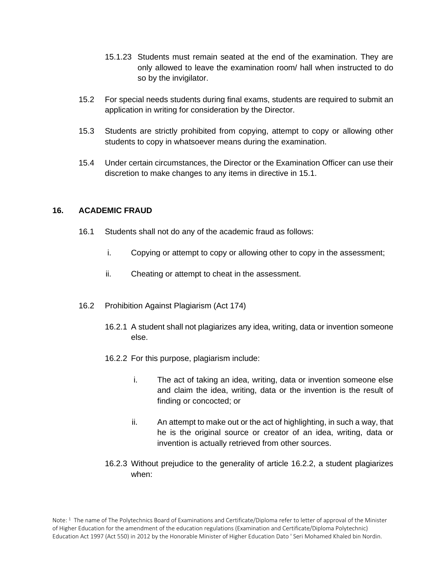- 15.1.23 Students must remain seated at the end of the examination. They are only allowed to leave the examination room/ hall when instructed to do so by the invigilator.
- 15.2 For special needs students during final exams, students are required to submit an application in writing for consideration by the Director.
- 15.3 Students are strictly prohibited from copying, attempt to copy or allowing other students to copy in whatsoever means during the examination.
- 15.4 Under certain circumstances, the Director or the Examination Officer can use their discretion to make changes to any items in directive in 15.1.

#### **16. ACADEMIC FRAUD**

- 16.1 Students shall not do any of the academic fraud as follows:
	- i. Copying or attempt to copy or allowing other to copy in the assessment;
	- ii. Cheating or attempt to cheat in the assessment.
- 16.2 Prohibition Against Plagiarism (Act 174)
	- 16.2.1 A student shall not plagiarizes any idea, writing, data or invention someone else.
	- 16.2.2 For this purpose, plagiarism include:
		- i. The act of taking an idea, writing, data or invention someone else and claim the idea, writing, data or the invention is the result of finding or concocted; or
		- ii. An attempt to make out or the act of highlighting, in such a way, that he is the original source or creator of an idea, writing, data or invention is actually retrieved from other sources.
	- 16.2.3 Without prejudice to the generality of article 16.2.2, a student plagiarizes when: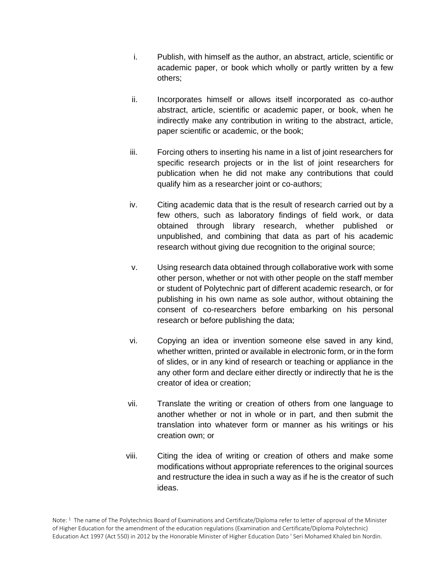- i. Publish, with himself as the author, an abstract, article, scientific or academic paper, or book which wholly or partly written by a few others;
- ii. Incorporates himself or allows itself incorporated as co-author abstract, article, scientific or academic paper, or book, when he indirectly make any contribution in writing to the abstract, article, paper scientific or academic, or the book;
- iii. Forcing others to inserting his name in a list of joint researchers for specific research projects or in the list of joint researchers for publication when he did not make any contributions that could qualify him as a researcher joint or co-authors;
- iv. Citing academic data that is the result of research carried out by a few others, such as laboratory findings of field work, or data obtained through library research, whether published or unpublished, and combining that data as part of his academic research without giving due recognition to the original source;
- v. Using research data obtained through collaborative work with some other person, whether or not with other people on the staff member or student of Polytechnic part of different academic research, or for publishing in his own name as sole author, without obtaining the consent of co-researchers before embarking on his personal research or before publishing the data;
- vi. Copying an idea or invention someone else saved in any kind, whether written, printed or available in electronic form, or in the form of slides, or in any kind of research or teaching or appliance in the any other form and declare either directly or indirectly that he is the creator of idea or creation;
- vii. Translate the writing or creation of others from one language to another whether or not in whole or in part, and then submit the translation into whatever form or manner as his writings or his creation own; or
- viii. Citing the idea of writing or creation of others and make some modifications without appropriate references to the original sources and restructure the idea in such a way as if he is the creator of such ideas.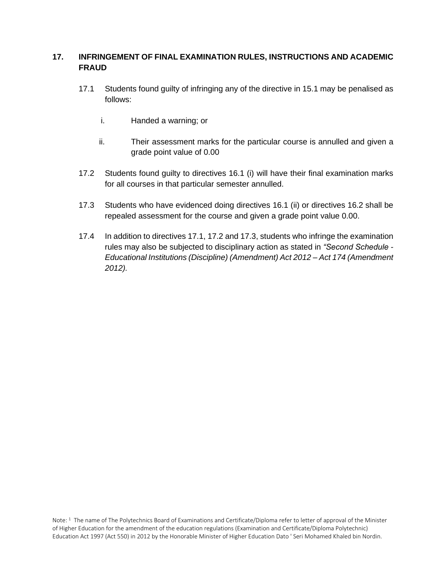#### **17. INFRINGEMENT OF FINAL EXAMINATION RULES, INSTRUCTIONS AND ACADEMIC FRAUD**

- 17.1 Students found guilty of infringing any of the directive in 15.1 may be penalised as follows:
	- i. Handed a warning; or
	- ii. Their assessment marks for the particular course is annulled and given a grade point value of 0.00
- 17.2 Students found guilty to directives 16.1 (i) will have their final examination marks for all courses in that particular semester annulled.
- 17.3 Students who have evidenced doing directives 16.1 (ii) or directives 16.2 shall be repealed assessment for the course and given a grade point value 0.00.
- 17.4 In addition to directives 17.1, 17.2 and 17.3, students who infringe the examination rules may also be subjected to disciplinary action as stated in *"Second Schedule - Educational Institutions (Discipline) (Amendment) Act 2012 – Act 174 (Amendment 2012).*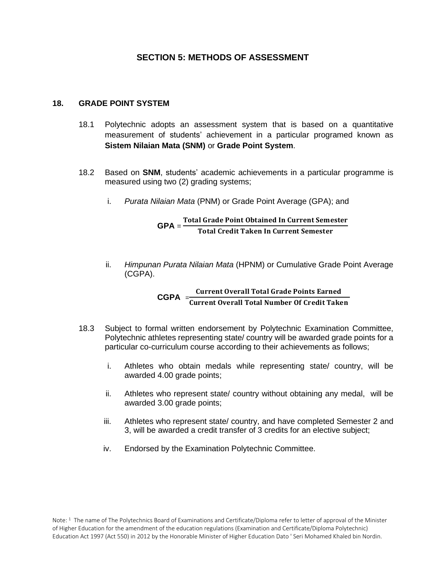#### **SECTION 5: METHODS OF ASSESSMENT**

#### **18. GRADE POINT SYSTEM**

- 18.1 Polytechnic adopts an assessment system that is based on a quantitative measurement of students' achievement in a particular programed known as **Sistem Nilaian Mata (SNM)** or **Grade Point System**.
- 18.2 Based on **SNM**, students' academic achievements in a particular programme is measured using two (2) grading systems;
	- i. *Purata Nilaian Mata* (PNM) or Grade Point Average (GPA); and

#### **GPA** = Total Grade Point Obtained In Current Semester<br>
GPA = The LG will Take Le G was Granadien Total Credit Taken In Current Semester

ii. *Himpunan Purata Nilaian Mata* (HPNM) or Cumulative Grade Point Average (CGPA).

#### **CGPA**  $=\frac{\text{Current Overall Total Grade Points Earmed}}{2 \times 2 \times 10^{11} \text{ N} \times 10^{11} \text{ C}} = 2.68 \times 10^{11} \text{ m} \cdot \text{C}$ **Current Overall Total Number Of Credit Taken**

- 18.3 Subject to formal written endorsement by Polytechnic Examination Committee, Polytechnic athletes representing state/ country will be awarded grade points for a particular co-curriculum course according to their achievements as follows;
	- i. Athletes who obtain medals while representing state/ country, will be awarded 4.00 grade points;
	- ii. Athletes who represent state/ country without obtaining any medal, will be awarded 3.00 grade points;
	- iii. Athletes who represent state/ country, and have completed Semester 2 and 3, will be awarded a credit transfer of 3 credits for an elective subject;
	- iv. Endorsed by the Examination Polytechnic Committee.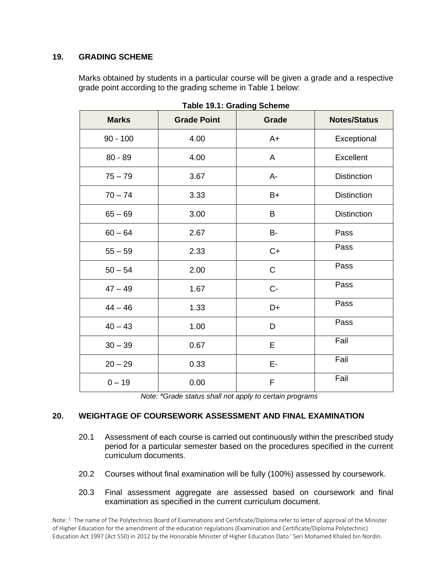#### **19. GRADING SCHEME**

Marks obtained by students in a particular course will be given a grade and a respective grade point according to the grading scheme in Table 1 below:

| <b>Marks</b> | <b>Grade Point</b> | <b>Grade</b> | <b>Notes/Status</b> |
|--------------|--------------------|--------------|---------------------|
| $90 - 100$   | 4.00               | $A+$         | Exceptional         |
| $80 - 89$    | 4.00               | A            | Excellent           |
| $75 - 79$    | 3.67               | A-           | <b>Distinction</b>  |
| $70 - 74$    | 3.33               | $B+$         | <b>Distinction</b>  |
| $65 - 69$    | 3.00               | B            | <b>Distinction</b>  |
| $60 - 64$    | 2.67               | B-           | Pass                |
| $55 - 59$    | 2.33               | $C+$         | Pass                |
| $50 - 54$    | 2.00               | $\mathsf C$  | Pass                |
| $47 - 49$    | 1.67               | $C -$        | Pass                |
| $44 - 46$    | 1.33               | D+           | Pass                |
| $40 - 43$    | 1.00               | D            | Pass                |
| $30 - 39$    | 0.67               | E            | Fail                |
| $20 - 29$    | 0.33               | E-           | Fail                |
| $0 - 19$     | 0.00               | F            | Fail                |

**Table 19.1: Grading Scheme**

*Note: \*Grade status shall not apply to certain programs*

#### **20. WEIGHTAGE OF COURSEWORK ASSESSMENT AND FINAL EXAMINATION**

- 20.1 Assessment of each course is carried out continuously within the prescribed study period for a particular semester based on the procedures specified in the current curriculum documents.
- 20.2 Courses without final examination will be fully (100%) assessed by coursework.
- 20.3 Final assessment aggregate are assessed based on coursework and final examination as specified in the current curriculum document.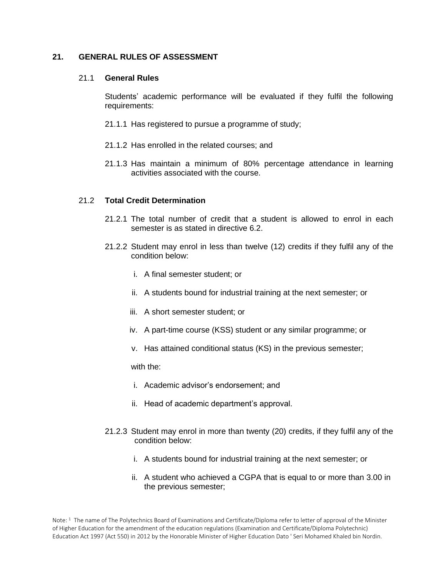#### **21. GENERAL RULES OF ASSESSMENT**

#### 21.1 **General Rules**

Students' academic performance will be evaluated if they fulfil the following requirements:

- 21.1.1 Has registered to pursue a programme of study;
- 21.1.2 Has enrolled in the related courses; and
- 21.1.3 Has maintain a minimum of 80% percentage attendance in learning activities associated with the course.

#### 21.2 **Total Credit Determination**

- 21.2.1 The total number of credit that a student is allowed to enrol in each semester is as stated in directive 6.2.
- 21.2.2 Student may enrol in less than twelve (12) credits if they fulfil any of the condition below:
	- i. A final semester student; or
	- ii. A students bound for industrial training at the next semester; or
	- iii. A short semester student; or
	- iv. A part-time course (KSS) student or any similar programme; or
	- v. Has attained conditional status (KS) in the previous semester;

with the:

- i. Academic advisor's endorsement; and
- ii. Head of academic department's approval.
- 21.2.3 Student may enrol in more than twenty (20) credits, if they fulfil any of the condition below:
	- i. A students bound for industrial training at the next semester; or
	- ii. A student who achieved a CGPA that is equal to or more than 3.00 in the previous semester;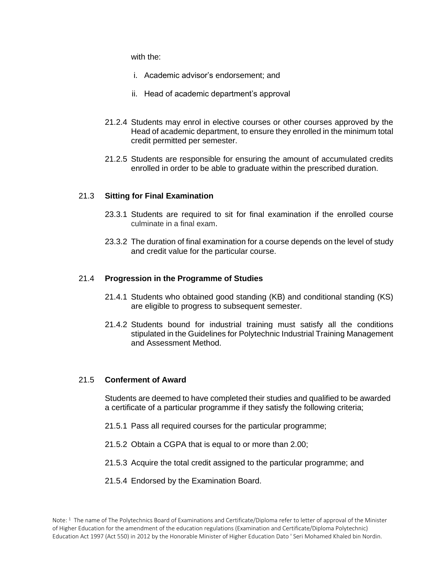with the:

- i. Academic advisor's endorsement; and
- ii. Head of academic department's approval
- 21.2.4 Students may enrol in elective courses or other courses approved by the Head of academic department, to ensure they enrolled in the minimum total credit permitted per semester.
- 21.2.5 Students are responsible for ensuring the amount of accumulated credits enrolled in order to be able to graduate within the prescribed duration.

#### 21.3 **Sitting for Final Examination**

- 23.3.1 Students are required to sit for final examination if the enrolled course culminate in a final exam.
- 23.3.2 The duration of final examination for a course depends on the level of study and credit value for the particular course.

#### 21.4 **Progression in the Programme of Studies**

- 21.4.1 Students who obtained good standing (KB) and conditional standing (KS) are eligible to progress to subsequent semester.
- 21.4.2 Students bound for industrial training must satisfy all the conditions stipulated in the Guidelines for Polytechnic Industrial Training Management and Assessment Method.

#### 21.5 **Conferment of Award**

Students are deemed to have completed their studies and qualified to be awarded a certificate of a particular programme if they satisfy the following criteria;

- 21.5.1 Pass all required courses for the particular programme;
- 21.5.2 Obtain a CGPA that is equal to or more than 2.00;
- 21.5.3 Acquire the total credit assigned to the particular programme; and
- 21.5.4 Endorsed by the Examination Board.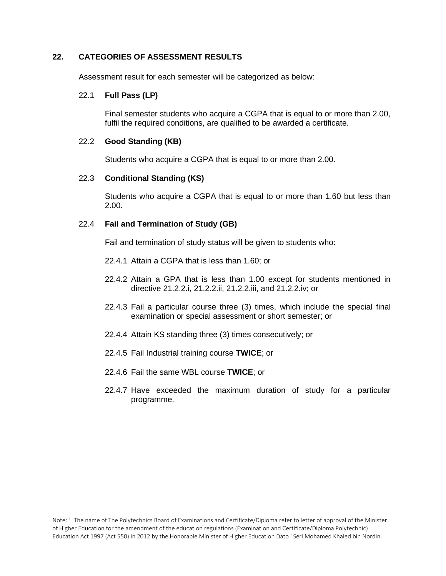#### **22. CATEGORIES OF ASSESSMENT RESULTS**

Assessment result for each semester will be categorized as below:

#### 22.1 **Full Pass (LP)**

Final semester students who acquire a CGPA that is equal to or more than 2.00, fulfil the required conditions, are qualified to be awarded a certificate.

#### 22.2 **Good Standing (KB)**

Students who acquire a CGPA that is equal to or more than 2.00.

#### 22.3 **Conditional Standing (KS)**

Students who acquire a CGPA that is equal to or more than 1.60 but less than 2.00.

#### 22.4 **Fail and Termination of Study (GB)**

Fail and termination of study status will be given to students who:

- 22.4.1 Attain a CGPA that is less than 1.60; or
- 22.4.2 Attain a GPA that is less than 1.00 except for students mentioned in directive 21.2.2.i, 21.2.2.ii, 21.2.2.iii, and 21.2.2.iv; or
- 22.4.3 Fail a particular course three (3) times, which include the special final examination or special assessment or short semester; or
- 22.4.4 Attain KS standing three (3) times consecutively; or
- 22.4.5 Fail Industrial training course **TWICE**; or
- 22.4.6 Fail the same WBL course **TWICE**; or
- 22.4.7 Have exceeded the maximum duration of study for a particular programme.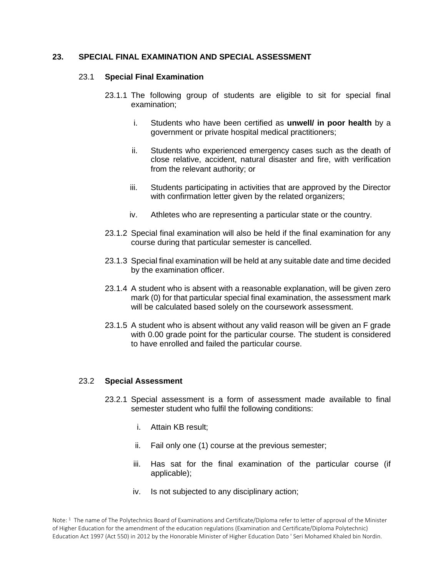#### **23. SPECIAL FINAL EXAMINATION AND SPECIAL ASSESSMENT**

#### 23.1 **Special Final Examination**

- 23.1.1 The following group of students are eligible to sit for special final examination;
	- i. Students who have been certified as **unwell/ in poor health** by a government or private hospital medical practitioners;
	- ii. Students who experienced emergency cases such as the death of close relative, accident, natural disaster and fire, with verification from the relevant authority; or
	- iii. Students participating in activities that are approved by the Director with confirmation letter given by the related organizers;
	- iv. Athletes who are representing a particular state or the country.
- 23.1.2 Special final examination will also be held if the final examination for any course during that particular semester is cancelled.
- 23.1.3 Special final examination will be held at any suitable date and time decided by the examination officer.
- 23.1.4 A student who is absent with a reasonable explanation, will be given zero mark (0) for that particular special final examination, the assessment mark will be calculated based solely on the coursework assessment.
- 23.1.5 A student who is absent without any valid reason will be given an F grade with 0.00 grade point for the particular course. The student is considered to have enrolled and failed the particular course.

#### 23.2 **Special Assessment**

- 23.2.1 Special assessment is a form of assessment made available to final semester student who fulfil the following conditions:
	- i. Attain KB result;
	- ii. Fail only one (1) course at the previous semester;
	- iii. Has sat for the final examination of the particular course (if applicable);
	- iv. Is not subjected to any disciplinary action;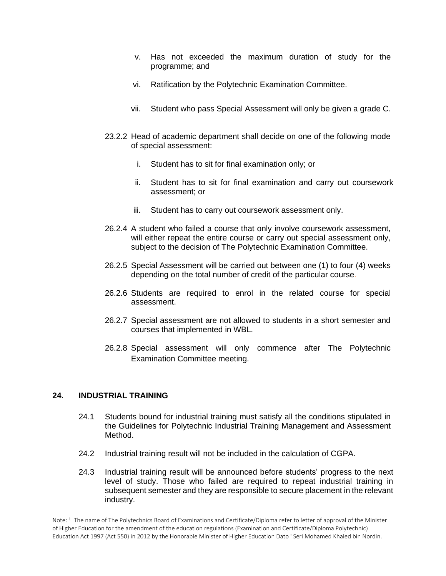- v. Has not exceeded the maximum duration of study for the programme; and
- vi. Ratification by the Polytechnic Examination Committee.
- vii. Student who pass Special Assessment will only be given a grade C.
- 23.2.2 Head of academic department shall decide on one of the following mode of special assessment:
	- i. Student has to sit for final examination only; or
	- ii. Student has to sit for final examination and carry out coursework assessment; or
	- iii. Student has to carry out coursework assessment only.
- 26.2.4 A student who failed a course that only involve coursework assessment, will either repeat the entire course or carry out special assessment only, subject to the decision of The Polytechnic Examination Committee.
- 26.2.5 Special Assessment will be carried out between one (1) to four (4) weeks depending on the total number of credit of the particular course.
- 26.2.6 Students are required to enrol in the related course for special assessment.
- 26.2.7 Special assessment are not allowed to students in a short semester and courses that implemented in WBL.
- 26.2.8 Special assessment will only commence after The Polytechnic Examination Committee meeting.

#### **24. INDUSTRIAL TRAINING**

- 24.1 Students bound for industrial training must satisfy all the conditions stipulated in the Guidelines for Polytechnic Industrial Training Management and Assessment Method.
- 24.2 Industrial training result will not be included in the calculation of CGPA.
- 24.3 Industrial training result will be announced before students' progress to the next level of study. Those who failed are required to repeat industrial training in subsequent semester and they are responsible to secure placement in the relevant industry.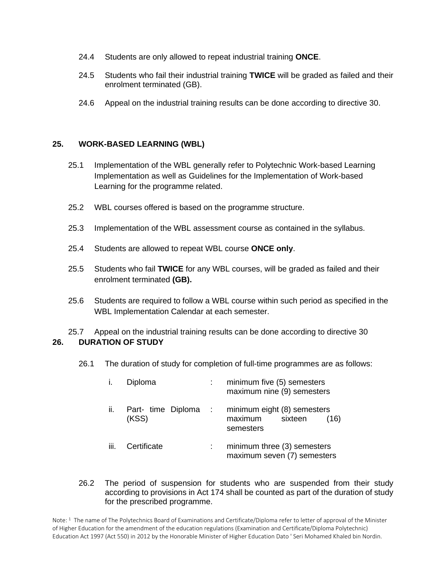- 24.4 Students are only allowed to repeat industrial training **ONCE**.
- 24.5 Students who fail their industrial training **TWICE** will be graded as failed and their enrolment terminated (GB).
- 24.6 Appeal on the industrial training results can be done according to directive 30.

#### **25. WORK-BASED LEARNING (WBL)**

- 25.1 Implementation of the WBL generally refer to Polytechnic Work-based Learning Implementation as well as Guidelines for the Implementation of Work-based Learning for the programme related.
- 25.2 WBL courses offered is based on the programme structure.
- 25.3 Implementation of the WBL assessment course as contained in the syllabus.
- 25.4 Students are allowed to repeat WBL course **ONCE only**.
- 25.5 Students who fail **TWICE** for any WBL courses, will be graded as failed and their enrolment terminated **(GB).**
- 25.6 Students are required to follow a WBL course within such period as specified in the WBL Implementation Calendar at each semester.

25.7 Appeal on the industrial training results can be done according to directive 30 **26. DURATION OF STUDY**

26.1 The duration of study for completion of full-time programmes are as follows:

|      | Diploma                     |             | minimum five (5) semesters<br>maximum nine (9) semesters               |
|------|-----------------------------|-------------|------------------------------------------------------------------------|
| ii.  | Part- time Diploma<br>(KSS) | $\sim 1000$ | minimum eight (8) semesters<br>maximum<br>sixteen<br>(16)<br>semesters |
| iii. | Certificate                 |             | minimum three (3) semesters<br>maximum seven (7) semesters             |

#### 26.2 The period of suspension for students who are suspended from their study according to provisions in Act 174 shall be counted as part of the duration of study for the prescribed programme.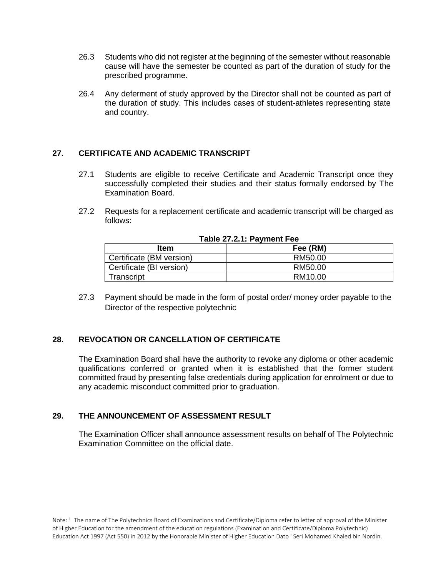- 26.3 Students who did not register at the beginning of the semester without reasonable cause will have the semester be counted as part of the duration of study for the prescribed programme.
- 26.4 Any deferment of study approved by the Director shall not be counted as part of the duration of study. This includes cases of student-athletes representing state and country.

#### **27. CERTIFICATE AND ACADEMIC TRANSCRIPT**

- 27.1 Students are eligible to receive Certificate and Academic Transcript once they successfully completed their studies and their status formally endorsed by The Examination Board.
- 27.2 Requests for a replacement certificate and academic transcript will be charged as follows:

| ltem                     | Fee (RM) |  |
|--------------------------|----------|--|
| Certificate (BM version) | RM50.00  |  |
| Certificate (BI version) | RM50.00  |  |
| Transcript               | RM10.00  |  |

#### **Table 27.2.1: Payment Fee**

27.3 Payment should be made in the form of postal order/ money order payable to the Director of the respective polytechnic

#### **28. REVOCATION OR CANCELLATION OF CERTIFICATE**

The Examination Board shall have the authority to revoke any diploma or other academic qualifications conferred or granted when it is established that the former student committed fraud by presenting false credentials during application for enrolment or due to any academic misconduct committed prior to graduation.

#### **29. THE ANNOUNCEMENT OF ASSESSMENT RESULT**

The Examination Officer shall announce assessment results on behalf of The Polytechnic Examination Committee on the official date.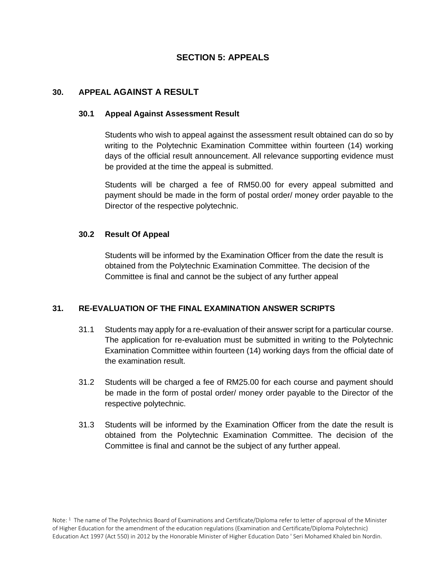#### **SECTION 5: APPEALS**

#### **30. APPEAL AGAINST A RESULT**

#### **30.1 Appeal Against Assessment Result**

Students who wish to appeal against the assessment result obtained can do so by writing to the Polytechnic Examination Committee within fourteen (14) working days of the official result announcement. All relevance supporting evidence must be provided at the time the appeal is submitted.

Students will be charged a fee of RM50.00 for every appeal submitted and payment should be made in the form of postal order/ money order payable to the Director of the respective polytechnic.

#### **30.2 Result Of Appeal**

Students will be informed by the Examination Officer from the date the result is obtained from the Polytechnic Examination Committee. The decision of the Committee is final and cannot be the subject of any further appeal

#### **31. RE-EVALUATION OF THE FINAL EXAMINATION ANSWER SCRIPTS**

- 31.1 Students may apply for a re-evaluation of their answer script for a particular course. The application for re-evaluation must be submitted in writing to the Polytechnic Examination Committee within fourteen (14) working days from the official date of the examination result.
- 31.2 Students will be charged a fee of RM25.00 for each course and payment should be made in the form of postal order/ money order payable to the Director of the respective polytechnic.
- 31.3 Students will be informed by the Examination Officer from the date the result is obtained from the Polytechnic Examination Committee. The decision of the Committee is final and cannot be the subject of any further appeal.